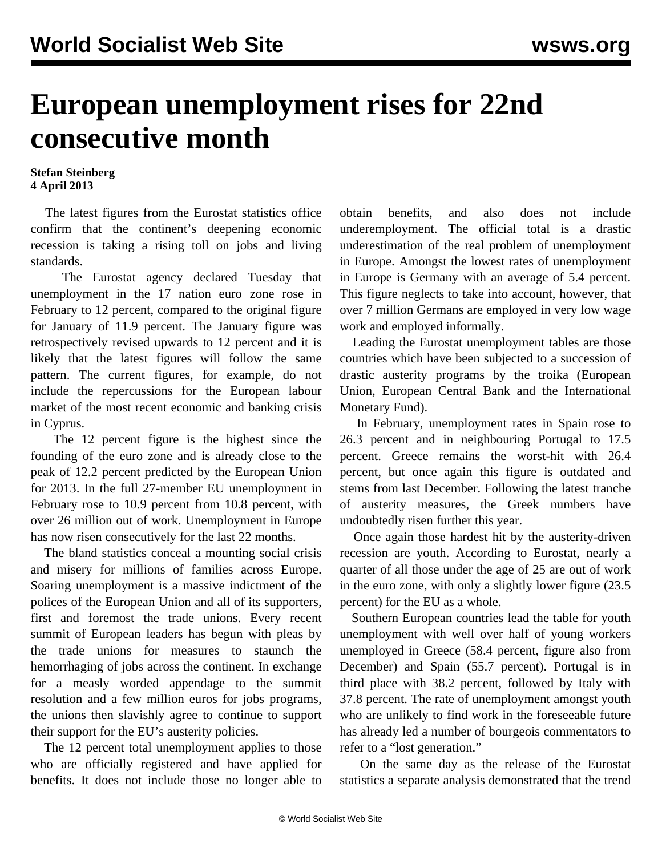## **European unemployment rises for 22nd consecutive month**

## **Stefan Steinberg 4 April 2013**

 The latest figures from the Eurostat statistics office confirm that the continent's deepening economic recession is taking a rising toll on jobs and living standards.

 The Eurostat agency declared Tuesday that unemployment in the 17 nation euro zone rose in February to 12 percent, compared to the original figure for January of 11.9 percent. The January figure was retrospectively revised upwards to 12 percent and it is likely that the latest figures will follow the same pattern. The current figures, for example, do not include the repercussions for the European labour market of the most recent economic and banking crisis in Cyprus.

 The 12 percent figure is the highest since the founding of the euro zone and is already close to the peak of 12.2 percent predicted by the European Union for 2013. In the full 27-member EU unemployment in February rose to 10.9 percent from 10.8 percent, with over 26 million out of work. Unemployment in Europe has now risen consecutively for the last 22 months.

 The bland statistics conceal a mounting social crisis and misery for millions of families across Europe. Soaring unemployment is a massive indictment of the polices of the European Union and all of its supporters, first and foremost the trade unions. Every recent summit of European leaders has begun with pleas by the trade unions for measures to staunch the hemorrhaging of jobs across the continent. In exchange for a measly worded appendage to the summit resolution and a few million euros for jobs programs, the unions then slavishly agree to continue to support their support for the EU's austerity policies.

 The 12 percent total unemployment applies to those who are officially registered and have applied for benefits. It does not include those no longer able to obtain benefits, and also does not include underemployment. The official total is a drastic underestimation of the real problem of unemployment in Europe. Amongst the lowest rates of unemployment in Europe is Germany with an average of 5.4 percent. This figure neglects to take into account, however, that over 7 million Germans are employed in very low wage work and employed informally.

 Leading the Eurostat unemployment tables are those countries which have been subjected to a succession of drastic austerity programs by the troika (European Union, European Central Bank and the International Monetary Fund).

 In February, unemployment rates in Spain rose to 26.3 percent and in neighbouring Portugal to 17.5 percent. Greece remains the worst-hit with 26.4 percent, but once again this figure is outdated and stems from last December. Following the latest tranche of austerity measures, the Greek numbers have undoubtedly risen further this year.

 Once again those hardest hit by the austerity-driven recession are youth. According to Eurostat, nearly a quarter of all those under the age of 25 are out of work in the euro zone, with only a slightly lower figure (23.5 percent) for the EU as a whole.

 Southern European countries lead the table for youth unemployment with well over half of young workers unemployed in Greece (58.4 percent, figure also from December) and Spain (55.7 percent). Portugal is in third place with 38.2 percent, followed by Italy with 37.8 percent. The rate of unemployment amongst youth who are unlikely to find work in the foreseeable future has already led a number of bourgeois commentators to refer to a "lost generation."

 On the same day as the release of the Eurostat statistics a separate analysis demonstrated that the trend